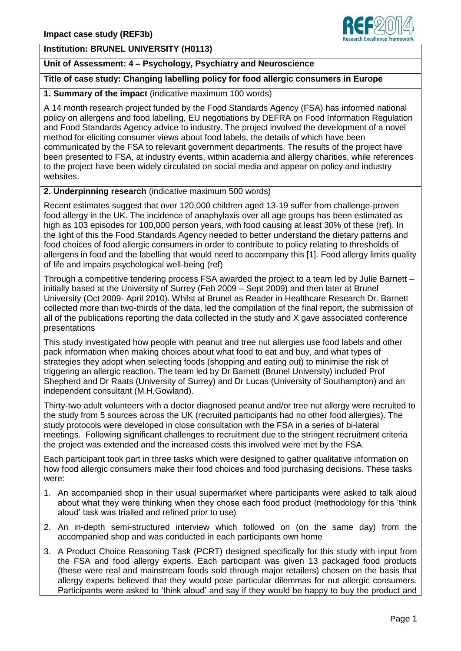## **Institution: BRUNEL UNIVERSITY (H0113)**

### **Unit of Assessment: 4 – Psychology, Psychiatry and Neuroscience**

# **Title of case study: Changing labelling policy for food allergic consumers in Europe**

#### **1. Summary of the impact** (indicative maximum 100 words)

A 14 month research project funded by the Food Standards Agency (FSA) has informed national policy on allergens and food labelling, EU negotiations by DEFRA on Food Information Regulation and Food Standards Agency advice to industry. The project involved the development of a novel method for eliciting consumer views about food labels, the details of which have been communicated by the FSA to relevant government departments. The results of the project have been presented to FSA, at industry events, within academia and allergy charities, while references to the project have been widely circulated on social media and appear on policy and industry websites.

#### **2. Underpinning research** (indicative maximum 500 words)

Recent estimates suggest that over 120,000 children aged 13-19 suffer from challenge-proven food allergy in the UK. The incidence of anaphylaxis over all age groups has been estimated as high as 103 episodes for 100,000 person years, with food causing at least 30% of these (ref). In the light of this the Food Standards Agency needed to better understand the dietary patterns and food choices of food allergic consumers in order to contribute to policy relating to thresholds of allergens in food and the labelling that would need to accompany this [1]. Food allergy limits quality of life and impairs psychological well-being (ref)

Through a competitive tendering process FSA awarded the project to a team led by Julie Barnett – initially based at the University of Surrey (Feb 2009 – Sept 2009) and then later at Brunel University (Oct 2009- April 2010). Whilst at Brunel as Reader in Healthcare Research Dr. Barnett collected more than two-thirds of the data, led the compilation of the final report, the submission of all of the publications reporting the data collected in the study and X gave associated conference presentations

This study investigated how people with peanut and tree nut allergies use food labels and other pack information when making choices about what food to eat and buy, and what types of strategies they adopt when selecting foods (shopping and eating out) to minimise the risk of triggering an allergic reaction. The team led by Dr Barnett (Brunel University) included Prof Shepherd and Dr Raats (University of Surrey) and Dr Lucas (University of Southampton) and an independent consultant (M.H.Gowland).

Thirty-two adult volunteers with a doctor diagnosed peanut and/or tree nut allergy were recruited to the study from 5 sources across the UK (recruited participants had no other food allergies). The study protocols were developed in close consultation with the FSA in a series of bi-lateral meetings. Following significant challenges to recruitment due to the stringent recruitment criteria the project was extended and the increased costs this involved were met by the FSA.

Each participant took part in three tasks which were designed to gather qualitative information on how food allergic consumers make their food choices and food purchasing decisions. These tasks were:

- 1. An accompanied shop in their usual supermarket where participants were asked to talk aloud about what they were thinking when they chose each food product (methodology for this 'think aloud' task was trialled and refined prior to use)
- 2. An in-depth semi-structured interview which followed on (on the same day) from the accompanied shop and was conducted in each participants own home
- 3. A Product Choice Reasoning Task (PCRT) designed specifically for this study with input from the FSA and food allergy experts. Each participant was given 13 packaged food products (these were real and mainstream foods sold through major retailers) chosen on the basis that allergy experts believed that they would pose particular dilemmas for nut allergic consumers. Participants were asked to 'think aloud' and say if they would be happy to buy the product and

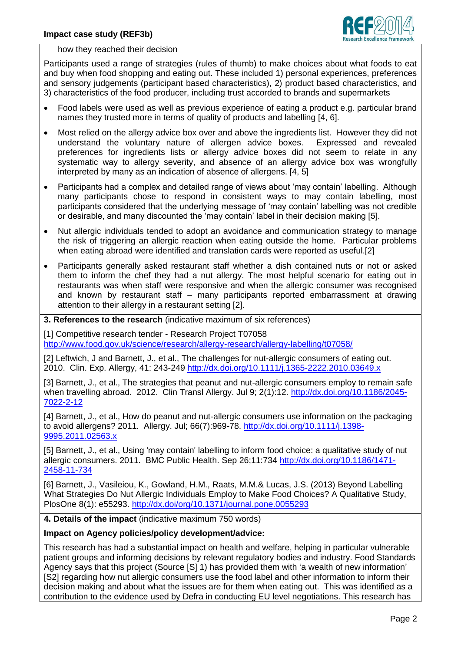

how they reached their decision

Participants used a range of strategies (rules of thumb) to make choices about what foods to eat and buy when food shopping and eating out. These included 1) personal experiences, preferences and sensory judgements (participant based characteristics), 2) product based characteristics, and 3) characteristics of the food producer, including trust accorded to brands and supermarkets

- Food labels were used as well as previous experience of eating a product e.g. particular brand names they trusted more in terms of quality of products and labelling [4, 6].
- Most relied on the allergy advice box over and above the ingredients list. However they did not understand the voluntary nature of allergen advice boxes. Expressed and revealed preferences for ingredients lists or allergy advice boxes did not seem to relate in any systematic way to allergy severity, and absence of an allergy advice box was wrongfully interpreted by many as an indication of absence of allergens. [4, 5]
- Participants had a complex and detailed range of views about 'may contain' labelling. Although many participants chose to respond in consistent ways to may contain labelling, most participants considered that the underlying message of 'may contain' labelling was not credible or desirable, and many discounted the 'may contain' label in their decision making [5].
- Nut allergic individuals tended to adopt an avoidance and communication strategy to manage the risk of triggering an allergic reaction when eating outside the home. Particular problems when eating abroad were identified and translation cards were reported as useful.[2]
- Participants generally asked restaurant staff whether a dish contained nuts or not or asked them to inform the chef they had a nut allergy. The most helpful scenario for eating out in restaurants was when staff were responsive and when the allergic consumer was recognised and known by restaurant staff – many participants reported embarrassment at drawing attention to their allergy in a restaurant setting [2].

**3. References to the research** (indicative maximum of six references)

[1] Competitive research tender - Research Project T07058 <http://www.food.gov.uk/science/research/allergy-research/allergy-labelling/t07058/>

[2] Leftwich, J and Barnett, J., et al., The challenges for nut-allergic consumers of eating out. 2010. Clin. Exp. Allergy, 41: 243-249 <http://dx.doi.org/10.1111/j.1365-2222.2010.03649.x>

[3] Barnett, J., et al., The strategies that peanut and nut-allergic consumers employ to remain safe when travelling abroad. 2012. Clin Transl Allergy. Jul 9: 2(1):12. [http://dx.doi.org/10.1186/2045-](http://dx.doi.org/10.1186/2045-7022-2-12) [7022-2-12](http://dx.doi.org/10.1186/2045-7022-2-12)

[4] Barnett, J., et al., How do peanut and nut-allergic consumers use information on the packaging to avoid allergens? 2011. Allergy. Jul; 66(7):969-78. [http://dx.doi.org/10.1111/j.1398-](http://dx.doi.org/10.1111/j.1398-9995.2011.02563.x) [9995.2011.02563.x](http://dx.doi.org/10.1111/j.1398-9995.2011.02563.x)

[5] Barnett, J., et al., Using 'may contain' labelling to inform food choice: a qualitative study of nut allergic consumers. 2011. BMC Public Health. Sep 26;11:734 [http://dx.doi.org/10.1186/1471-](http://dx.doi.org/10.1186/1471-2458-11-734) [2458-11-734](http://dx.doi.org/10.1186/1471-2458-11-734)

[6] Barnett, J., Vasileiou, K., Gowland, H.M., Raats, M.M.& Lucas, J.S. (2013) Beyond Labelling What Strategies Do Nut Allergic Individuals Employ to Make Food Choices? A Qualitative Study, PlosOne 8(1): e55293.<http://dx.doi/org/10.1371/journal.pone.0055293>

**4. Details of the impact** (indicative maximum 750 words)

### **Impact on Agency policies/policy development/advice:**

This research has had a substantial impact on health and welfare, helping in particular vulnerable patient groups and informing decisions by relevant regulatory bodies and industry. Food Standards Agency says that this project (Source [S] 1) has provided them with 'a wealth of new information' [S2] regarding how nut allergic consumers use the food label and other information to inform their decision making and about what the issues are for them when eating out. This was identified as a contribution to the evidence used by Defra in conducting EU level negotiations. This research has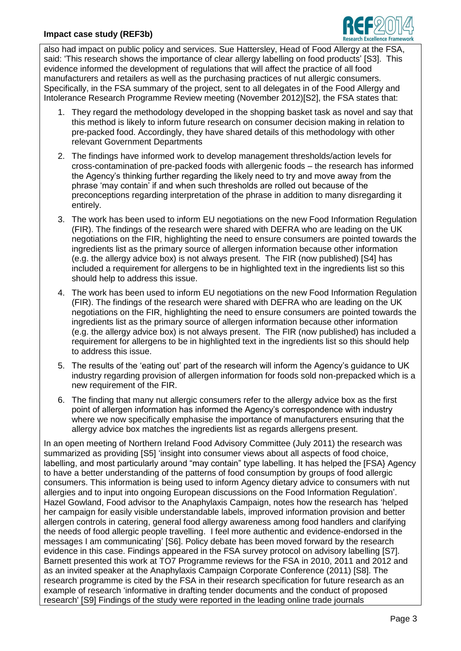

also had impact on public policy and services. Sue Hattersley, Head of Food Allergy at the FSA, said: 'This research shows the importance of clear allergy labelling on food products' [S3]. This evidence informed the development of regulations that will affect the practice of all food manufacturers and retailers as well as the purchasing practices of nut allergic consumers. Specifically, in the FSA summary of the project, sent to all delegates in of the Food Allergy and Intolerance Research Programme Review meeting (November 2012)[S2], the FSA states that:

- 1. They regard the methodology developed in the shopping basket task as novel and say that this method is likely to inform future research on consumer decision making in relation to pre-packed food. Accordingly, they have shared details of this methodology with other relevant Government Departments
- 2. The findings have informed work to develop management thresholds/action levels for cross-contamination of pre-packed foods with allergenic foods – the research has informed the Agency's thinking further regarding the likely need to try and move away from the phrase 'may contain' if and when such thresholds are rolled out because of the preconceptions regarding interpretation of the phrase in addition to many disregarding it entirely.
- 3. The work has been used to inform EU negotiations on the new Food Information Regulation (FIR). The findings of the research were shared with DEFRA who are leading on the UK negotiations on the FIR, highlighting the need to ensure consumers are pointed towards the ingredients list as the primary source of allergen information because other information (e.g. the allergy advice box) is not always present. The FIR (now published) [S4] has included a requirement for allergens to be in highlighted text in the ingredients list so this should help to address this issue.
- 4. The work has been used to inform EU negotiations on the new Food Information Regulation (FIR). The findings of the research were shared with DEFRA who are leading on the UK negotiations on the FIR, highlighting the need to ensure consumers are pointed towards the ingredients list as the primary source of allergen information because other information (e.g. the allergy advice box) is not always present. The FIR (now published) has included a requirement for allergens to be in highlighted text in the ingredients list so this should help to address this issue.
- 5. The results of the 'eating out' part of the research will inform the Agency's guidance to UK industry regarding provision of allergen information for foods sold non-prepacked which is a new requirement of the FIR.
- 6. The finding that many nut allergic consumers refer to the allergy advice box as the first point of allergen information has informed the Agency's correspondence with industry where we now specifically emphasise the importance of manufacturers ensuring that the allergy advice box matches the ingredients list as regards allergens present.

In an open meeting of Northern Ireland Food Advisory Committee (July 2011) the research was summarized as providing [S5] 'insight into consumer views about all aspects of food choice, labelling, and most particularly around "may contain" type labelling. It has helped the [FSA} Agency to have a better understanding of the patterns of food consumption by groups of food allergic consumers. This information is being used to inform Agency dietary advice to consumers with nut allergies and to input into ongoing European discussions on the Food Information Regulation'. Hazel Gowland, Food advisor to the Anaphylaxis Campaign, notes how the research has 'helped her campaign for easily visible understandable labels, improved information provision and better allergen controls in catering, general food allergy awareness among food handlers and clarifying the needs of food allergic people travelling. I feel more authentic and evidence-endorsed in the messages I am communicating' [S6]. Policy debate has been moved forward by the research evidence in this case. Findings appeared in the FSA survey protocol on advisory labelling [S7]. Barnett presented this work at TO7 Programme reviews for the FSA in 2010, 2011 and 2012 and as an invited speaker at the Anaphylaxis Campaign Corporate Conference (2011) [S8]. The research programme is cited by the FSA in their research specification for future research as an example of research 'informative in drafting tender documents and the conduct of proposed research' [S9] Findings of the study were reported in the leading online trade journals